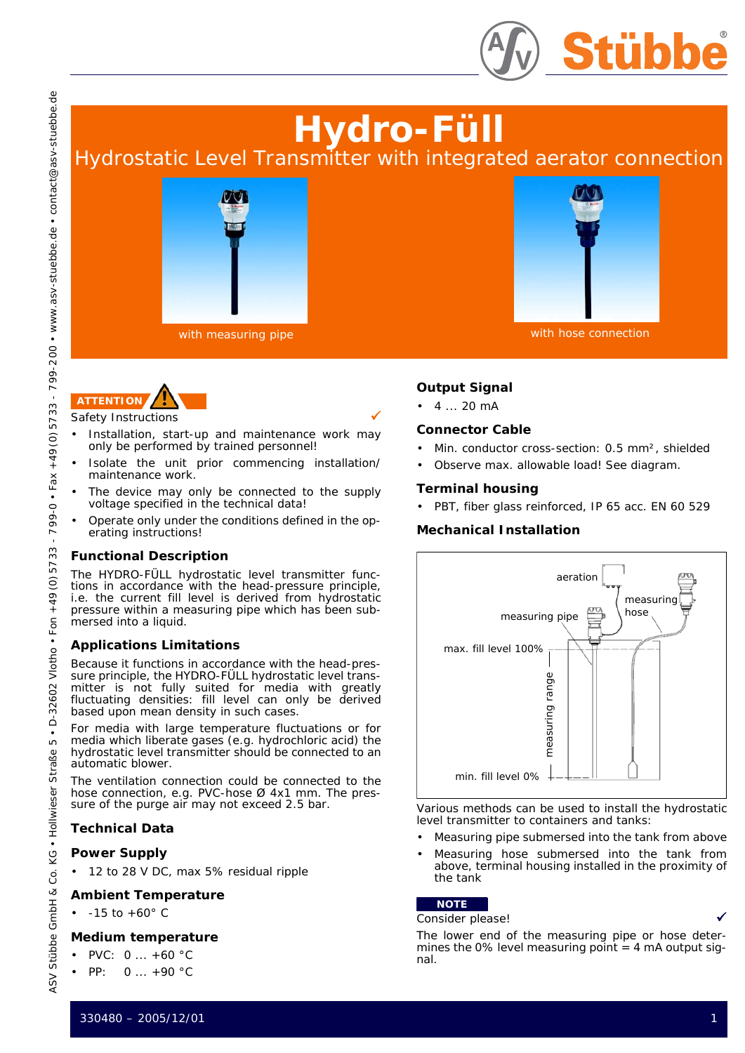

# **Hydro-Füll**

Hydrostatic Level Transmitter with integrated aerator connection



with measuring pipe with hose connection



Safety Instructions

- Installation, start-up and maintenance work may only be performed by trained personnel!
- Isolate the unit prior commencing installation/ maintenance work.
- The device may only be connected to the supply voltage specified in the technical data!
- Operate only under the conditions defined in the operating instructions!

# **Functional Description**

The HYDRO-FÜLL hydrostatic level transmitter functions in accordance with the head-pressure principle, i.e. the current fill level is derived from hydrostatic pressure within a measuring pipe which has been submersed into a liquid.

# **Applications Limitations**

Because it functions in accordance with the head-pressure principle, the HYDRO-FÜLL hydrostatic level transmitter is not fully suited for media with greatly fluctuating densities: fill level can only be derived based upon mean density in such cases.

For media with large temperature fluctuations or for media which liberate gases (e.g. hydrochloric acid) the hydrostatic level transmitter should be connected to an automatic blower.

The ventilation connection could be connected to the hose connection, e.g. PVC-hose Ø 4x1 mm. The pressure of the purge air may not exceed 2.5 bar.

# **Technical Data**

## **Power Supply**

• 12 to 28 V DC, max 5% residual ripple

## **Ambient Temperature**

•  $-15$  to  $+60^{\circ}$  C

## **Medium temperature**

- $PVC: 0 ... +60 °C$
- PP: 0 ... +90 °C

# **Output Signal**

 $4... 20$  mA

## **Connector Cable**

- Min. conductor cross-section: 0.5 mm<sup>2</sup>, shielded
- Observe max. allowable load! See diagram.

## **Terminal housing**

PBT, fiber glass reinforced, IP 65 acc. EN 60 529

## **Mechanical Installation**



Various methods can be used to install the hydrostatic level transmitter to containers and tanks:

- Measuring pipe submersed into the tank from above
- Measuring hose submersed into the tank from above, terminal housing installed in the proximity of the tank

## **NOTE**

#### Consider please!

The lower end of the measuring pipe or hose determines the 0% level measuring point  $=$  4 mA output signal.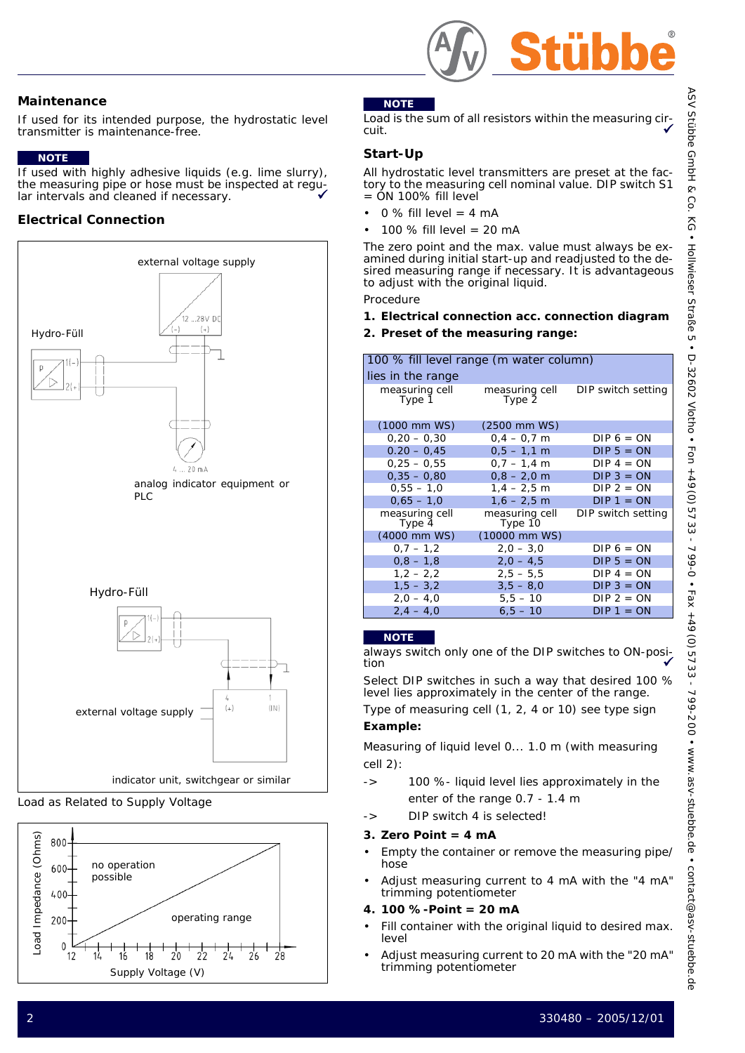

## **Maintenance**

If used for its intended purpose, the hydrostatic level transmitter is maintenance-free.

#### **NOTE**

If used with highly adhesive liquids (e.g. lime slurry), the measuring pipe or hose must be inspected at regular intervals and cleaned if necessary.

#### **Electrical Connection**



Load as Related to Supply Voltage



#### **NOTE**

Load is the sum of all resistors within the measuring circuit.  $\bullet$ 

## **Start-Up**

All hydrostatic level transmitters are preset at the factory to the measuring cell nominal value. DIP switch S1 = ON 100% fill level

- 0 % fill level =  $4 \text{ mA}$
- 100 % fill level = 20 mA

The zero point and the max. value must always be examined during initial start-up and readjusted to the desired measuring range if necessary. It is advantageous to adjust with the original liquid.

Procedure

- **1. Electrical connection acc. connection diagram**
- **2. Preset of the measuring range:**

| 100 % fill level range (m water column) |                                  |                    |  |  |
|-----------------------------------------|----------------------------------|--------------------|--|--|
| lies in the range                       |                                  |                    |  |  |
| measuring cell<br>Type 1                | measuring cell<br>Type $\bar{2}$ | DIP switch setting |  |  |
| (1000 mm WS)                            | $(2500 \, \text{mm WS})$         |                    |  |  |
| $0,20 - 0,30$                           | $0.4 - 0.7$ m                    | $DIP 6 = ON$       |  |  |
| $0.20 - 0.45$                           | $0,5 - 1,1$ m                    | $DIP 5 = ON$       |  |  |
| $0,25 - 0,55$                           | $0.7 - 1.4$ m                    | $DIP 4 = ON$       |  |  |
| $0,35 - 0,80$                           | $0.8 - 2.0$ m                    | $DIP 3 = ON$       |  |  |
| $0.55 - 1.0$                            | $1,4 - 2,5$ m                    | $DIP 2 = ON$       |  |  |
| $0,65 - 1,0$                            | $1,6 - 2,5$ m                    | $DIP 1 = ON$       |  |  |
| measuring cell<br>Type 4                | measuring cell<br>Type 10        | DIP switch setting |  |  |
| (4000 mm WS)                            | (10000 mm WS)                    |                    |  |  |
| $0.7 - 1.2$                             | $2,0 - 3,0$                      | $DIP 6 = ON$       |  |  |
| $0,8 - 1,8$                             | $2,0 - 4,5$                      | $DIP 5 = ON$       |  |  |
| $1,2 - 2,2$                             | $2,5 - 5,5$                      | $DIP 4 = ON$       |  |  |
| $1,5 - 3,2$                             | $3,5 - 8,0$                      | $DIP 3 = ON$       |  |  |
| $2,0 - 4,0$                             | $5,5 - 10$                       | $DIP 2 = ON$       |  |  |
| $2,4 - 4,0$                             | $6,5 - 10$                       | $DIP 1 = ON$       |  |  |
|                                         |                                  |                    |  |  |

#### **NOTE**

always switch only one of the DIP switches to ON-position  $\sqrt{ }$ 

Select DIP switches in such a way that desired 100 % level lies approximately in the center of the range.

Type of measuring cell (1, 2, 4 or 10) see type sign **Example:**

Measuring of liquid level 0... 1.0 m (with measuring cell 2):

- -> 100 %- liquid level lies approximately in the enter of the range 0.7 - 1.4 m
- -> DIP switch 4 is selected!

#### **3. Zero Point = 4 mA**

- Empty the container or remove the measuring pipe/ hose
- Adjust measuring current to 4 mA with the "4 mA" trimming potentiometer
- **4. 100 %-Point = 20 mA**
- Fill container with the original liquid to desired max. level
- Adjust measuring current to 20 mA with the "20 mA" trimming potentiometer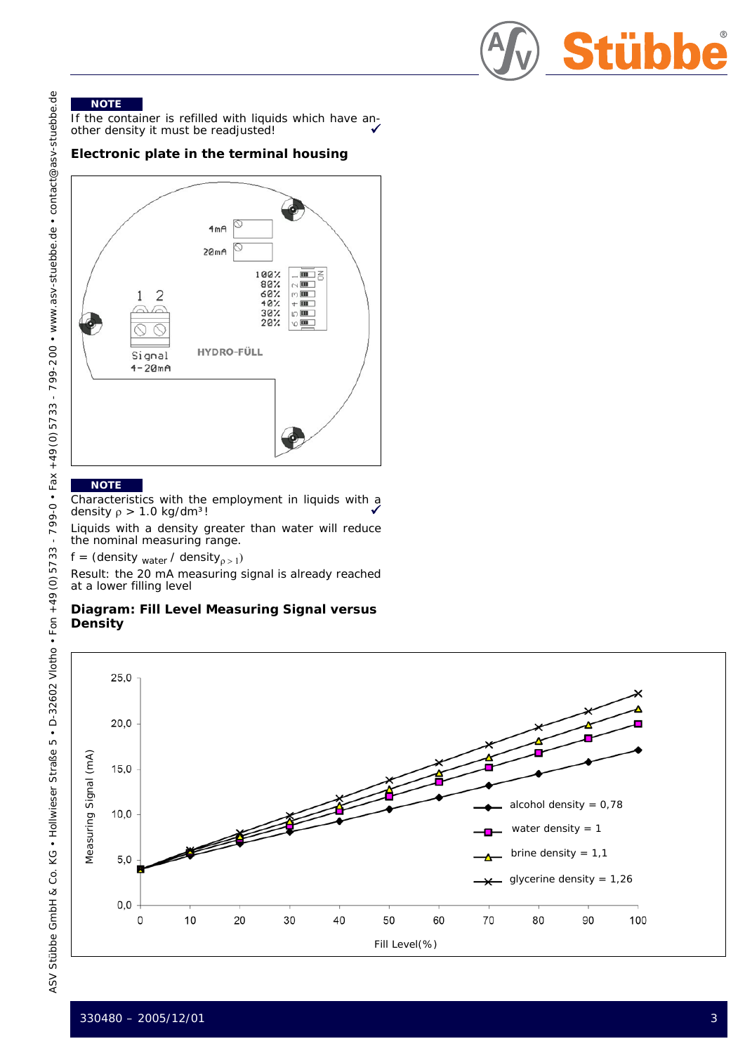

## **NOTE**

If the container is refilled with liquids which have another density it must be readjusted!  $\checkmark$ 

## **Electronic plate in the terminal housing**



#### **NOTE**

Characteristics with the employment in liquids with a density  $\rho > 1.0$  kg/dm<sup>3</sup>!  $\checkmark$ 

Liquids with a density greater than water will reduce the nominal measuring range.

f = (density  $_{\text{water}}$  / density $_{\rho > 1}$ )

Result: the 20 mA measuring signal is already reached at a lower filling level

## **Diagram: Fill Level Measuring Signal versus Density**